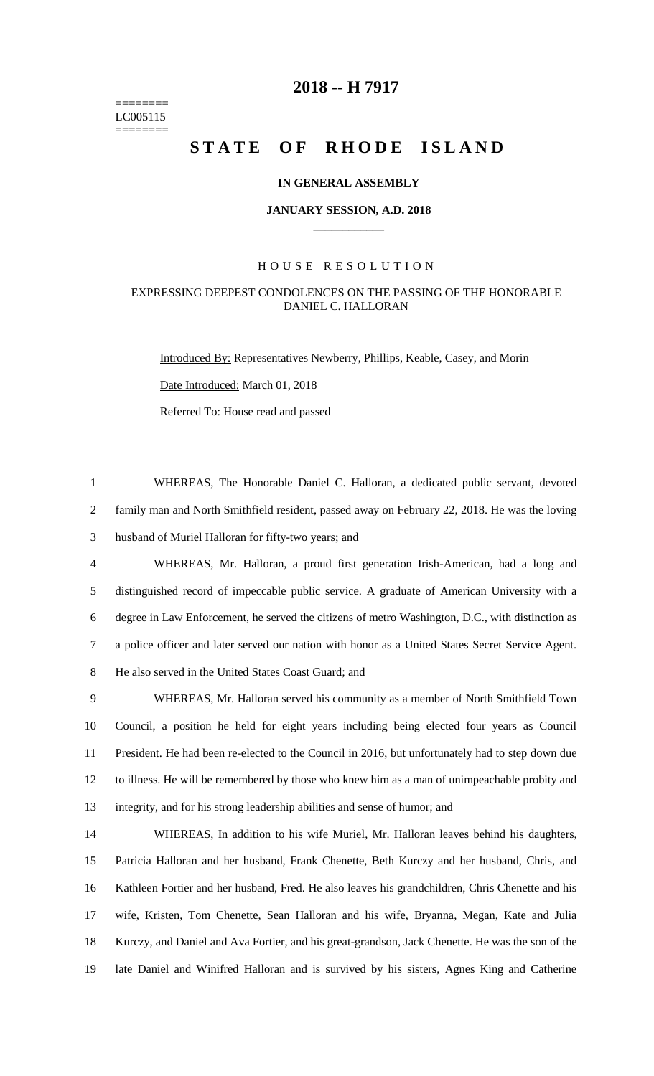======== LC005115 ========

## **-- H 7917**

# **STATE OF RHODE ISLAND**

#### **IN GENERAL ASSEMBLY**

#### **JANUARY SESSION, A.D. 2018 \_\_\_\_\_\_\_\_\_\_\_\_**

#### H O U S E R E S O L U T I O N

### EXPRESSING DEEPEST CONDOLENCES ON THE PASSING OF THE HONORABLE DANIEL C. HALLORAN

Introduced By: Representatives Newberry, Phillips, Keable, Casey, and Morin Date Introduced: March 01, 2018 Referred To: House read and passed

 WHEREAS, The Honorable Daniel C. Halloran, a dedicated public servant, devoted family man and North Smithfield resident, passed away on February 22, 2018. He was the loving husband of Muriel Halloran for fifty-two years; and

 WHEREAS, Mr. Halloran, a proud first generation Irish-American, had a long and distinguished record of impeccable public service. A graduate of American University with a degree in Law Enforcement, he served the citizens of metro Washington, D.C., with distinction as a police officer and later served our nation with honor as a United States Secret Service Agent. He also served in the United States Coast Guard; and

 WHEREAS, Mr. Halloran served his community as a member of North Smithfield Town Council, a position he held for eight years including being elected four years as Council President. He had been re-elected to the Council in 2016, but unfortunately had to step down due to illness. He will be remembered by those who knew him as a man of unimpeachable probity and integrity, and for his strong leadership abilities and sense of humor; and

 WHEREAS, In addition to his wife Muriel, Mr. Halloran leaves behind his daughters, Patricia Halloran and her husband, Frank Chenette, Beth Kurczy and her husband, Chris, and Kathleen Fortier and her husband, Fred. He also leaves his grandchildren, Chris Chenette and his wife, Kristen, Tom Chenette, Sean Halloran and his wife, Bryanna, Megan, Kate and Julia Kurczy, and Daniel and Ava Fortier, and his great-grandson, Jack Chenette. He was the son of the late Daniel and Winifred Halloran and is survived by his sisters, Agnes King and Catherine